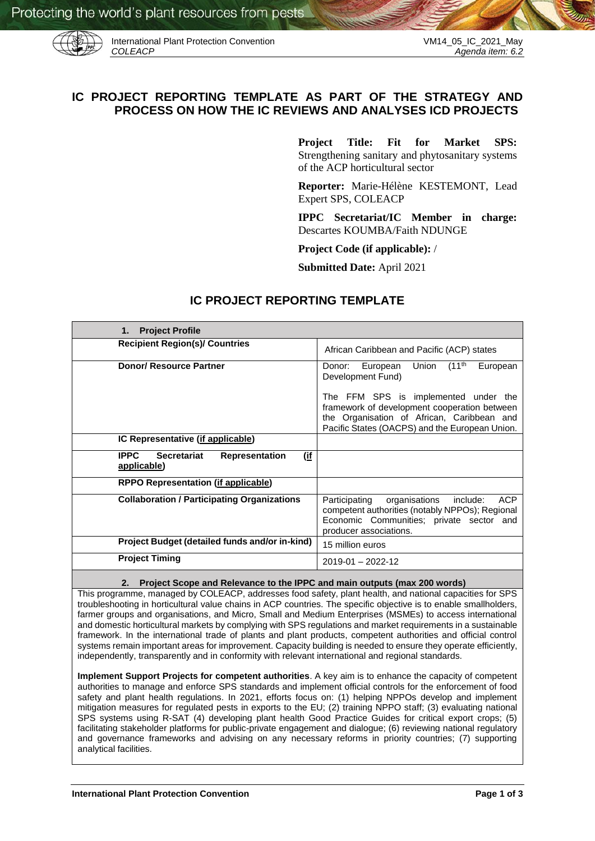

International Plant Protection Convention VM14\_05\_IC\_2021\_May<br>COLEACP Agenda item: 6.2

# **IC PROJECT REPORTING TEMPLATE AS PART OF THE STRATEGY AND PROCESS ON HOW THE IC REVIEWS AND ANALYSES ICD PROJECTS**

**Project Title: Fit for Market SPS:**  Strengthening sanitary and phytosanitary systems of the ACP horticultural sector

**Reporter:** Marie-Hélène KESTEMONT, Lead Expert SPS, COLEACP

**IPPC Secretariat/IC Member in charge:**  Descartes KOUMBA/Faith NDUNGE

**Project Code (if applicable):** /

**Submitted Date:** April 2021

# **IC PROJECT REPORTING TEMPLATE**

| <b>Project Profile</b><br>1.                                              |                                                                                                                                                                                                                                                                        |
|---------------------------------------------------------------------------|------------------------------------------------------------------------------------------------------------------------------------------------------------------------------------------------------------------------------------------------------------------------|
| <b>Recipient Region(s)/ Countries</b>                                     | African Caribbean and Pacific (ACP) states                                                                                                                                                                                                                             |
| <b>Donor/ Resource Partner</b>                                            | Union (11 <sup>th</sup><br>European<br>European<br>Donor:<br>Development Fund)<br>The FFM SPS is implemented under the<br>framework of development cooperation between<br>the Organisation of African, Caribbean and<br>Pacific States (OACPS) and the European Union. |
| IC Representative (if applicable)                                         |                                                                                                                                                                                                                                                                        |
| (if<br><b>IPPC</b><br>Secretariat<br><b>Representation</b><br>applicable) |                                                                                                                                                                                                                                                                        |
| <b>RPPO Representation (if applicable)</b>                                |                                                                                                                                                                                                                                                                        |
| <b>Collaboration / Participating Organizations</b>                        | <b>ACP</b><br>Participating<br>organisations<br>include:<br>competent authorities (notably NPPOs); Regional<br>Economic Communities; private sector and<br>producer associations.                                                                                      |
| Project Budget (detailed funds and/or in-kind)                            | 15 million euros                                                                                                                                                                                                                                                       |
| <b>Project Timing</b>                                                     | $2019 - 01 - 2022 - 12$                                                                                                                                                                                                                                                |

## **2. Project Scope and Relevance to the IPPC and main outputs (max 200 words)**

This programme, managed by COLEACP, addresses food safety, plant health, and national capacities for SPS troubleshooting in horticultural value chains in ACP countries. The specific objective is to enable smallholders, farmer groups and organisations, and Micro, Small and Medium Enterprises (MSMEs) to access international and domestic horticultural markets by complying with SPS regulations and market requirements in a sustainable framework. In the international trade of plants and plant products, competent authorities and official control systems remain important areas for improvement. Capacity building is needed to ensure they operate efficiently, independently, transparently and in conformity with relevant international and regional standards.

**Implement Support Projects for competent authorities**. A key aim is to enhance the capacity of competent authorities to manage and enforce SPS standards and implement official controls for the enforcement of food safety and plant health regulations. In 2021, efforts focus on: (1) helping NPPOs develop and implement mitigation measures for regulated pests in exports to the EU; (2) training NPPO staff; (3) evaluating national SPS systems using R-SAT (4) developing plant health Good Practice Guides for critical export crops; (5) facilitating stakeholder platforms for public-private engagement and dialogue; (6) reviewing national regulatory and governance frameworks and advising on any necessary reforms in priority countries; (7) supporting analytical facilities.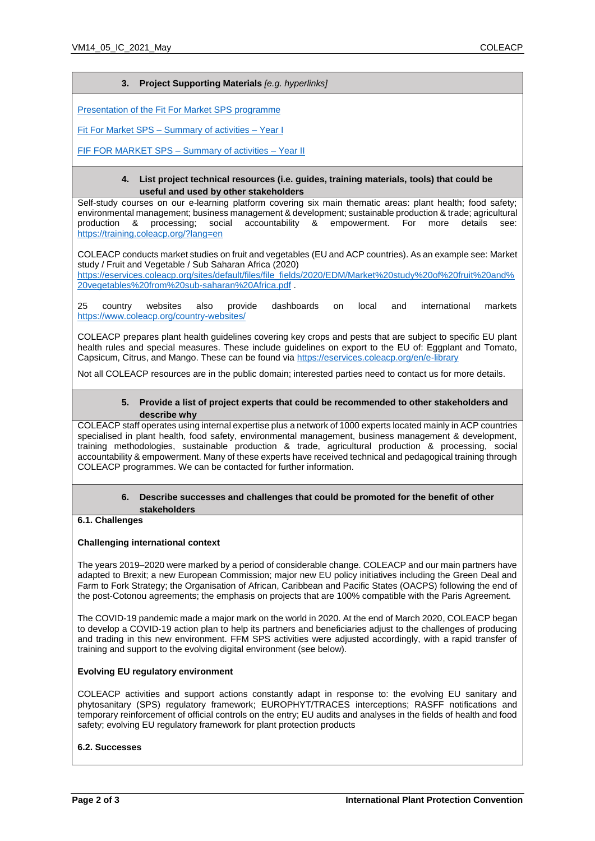# **3. Project Supporting Materials** *[e.g. hyperlinks]*

[Presentation of the Fit For Market SPS](https://eservices.coleacp.org/sites/default/files/file_fields/2021/documents/Fit%20for%20Market%20-%20Strengthening%20sanitary%20and%20phytosanitary%20systems%20of%20the%20ACP%20horticultural%20sector.pdf) programme

Fit For Market SPS – [Summary of activities –](https://eservices.coleacp.org/sites/default/files/file_fields/2021/documents/FFM-SPS_ACTION_SUMMARY.pdf) Year I

[FIF FOR MARKET SPS –](https://eservices.coleacp.org/sites/default/files/file_fields/zz.ProductionsIC/ACTION%20SUMMARY%20JAN-DEC%202020_ENG.pdf) Summary of activities – Year II

#### **4. List project technical resources (i.e. guides, training materials, tools) that could be useful and used by other stakeholders**

Self-study courses on our e-learning platform covering six main thematic areas: plant health; food safety; environmental management; business management & development; sustainable production & trade; agricultural production & processing; social accountability & empowerment. For more details see: <https://training.coleacp.org/?lang=en>

COLEACP conducts market studies on fruit and vegetables (EU and ACP countries). As an example see: Market study / Fruit and Vegetable / Sub Saharan Africa (2020)

[https://eservices.coleacp.org/sites/default/files/file\\_fields/2020/EDM/Market%20study%20of%20fruit%20and%](https://eservices.coleacp.org/sites/default/files/file_fields/2020/EDM/Market%20study%20of%20fruit%20and%20vegetables%20from%20sub-saharan%20Africa.pdf) [20vegetables%20from%20sub-saharan%20Africa.pdf](https://eservices.coleacp.org/sites/default/files/file_fields/2020/EDM/Market%20study%20of%20fruit%20and%20vegetables%20from%20sub-saharan%20Africa.pdf) .

25 country websites also provide dashboards on local and international markets <https://www.coleacp.org/country-websites/>

COLEACP prepares plant health guidelines covering key crops and pests that are subject to specific EU plant health rules and special measures. These include guidelines on export to the EU of: Eggplant and Tomato, Capsicum, Citrus, and Mango. These can be found via<https://eservices.coleacp.org/en/e-library>

Not all COLEACP resources are in the public domain; interested parties need to contact us for more details.

## **5. Provide a list of project experts that could be recommended to other stakeholders and describe why**

COLEACP staff operates using internal expertise plus a network of 1000 experts located mainly in ACP countries specialised in plant health, food safety, environmental management, business management & development, training methodologies, sustainable production & trade, agricultural production & processing, social accountability & empowerment. Many of these experts have received technical and pedagogical training through COLEACP programmes. We can be contacted for further information.

#### **6. Describe successes and challenges that could be promoted for the benefit of other stakeholders**

# **6.1. Challenges**

## **Challenging international context**

The years 2019–2020 were marked by a period of considerable change. COLEACP and our main partners have adapted to Brexit; a new European Commission; major new EU policy initiatives including the Green Deal and Farm to Fork Strategy; the Organisation of African, Caribbean and Pacific States (OACPS) following the end of the post-Cotonou agreements; the emphasis on projects that are 100% compatible with the Paris Agreement.

The COVID-19 pandemic made a major mark on the world in 2020. At the end of March 2020, COLEACP began to develop a COVID-19 action plan to help its partners and beneficiaries adjust to the challenges of producing and trading in this new environment. FFM SPS activities were adjusted accordingly, with a rapid transfer of training and support to the evolving digital environment (see below).

## **Evolving EU regulatory environment**

COLEACP activities and support actions constantly adapt in response to: the evolving EU sanitary and phytosanitary (SPS) regulatory framework; EUROPHYT/TRACES interceptions; RASFF notifications and temporary reinforcement of official controls on the entry; EU audits and analyses in the fields of health and food safety; evolving EU regulatory framework for plant protection products

## **6.2. Successes**